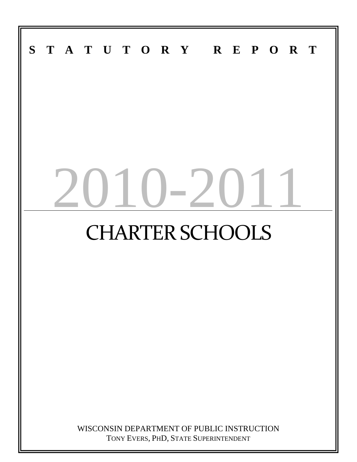# $S$ **STATUTORY REPORT**  $(1 - 2)$ CHARTER SCHOOLS WISCONSIN DEPARTMENT OF PUBLIC INSTRUCTION

TONY EVERS, PHD, STATE SUPERINTENDENT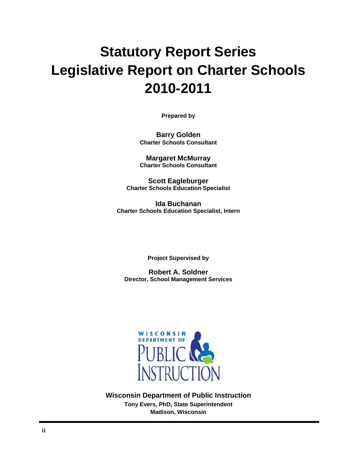# **Statutory Report Series Legislative Report on Charter Schools 2010-2011**

**Prepared by** 

**Barry Golden Charter Schools Consultant** 

**Margaret McMurray Charter Schools Consultant** 

**Scott Eagleburger Charter Schools Education Specialist** 

**Ida Buchanan Charter Schools Education Specialist, Intern** 

**Project Supervised by** 

**Robert A. Soldner Director, School Management Services** 



**Wisconsin Department of Public Instruction Tony Evers, PhD, State Superintendent Madison, Wisconsin**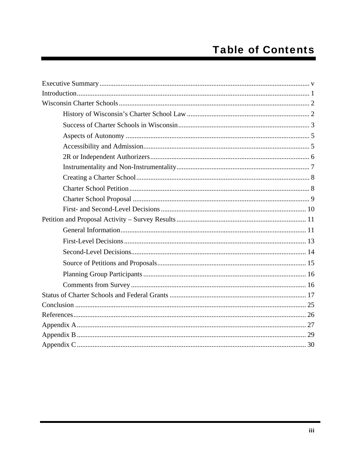# **Table of Contents**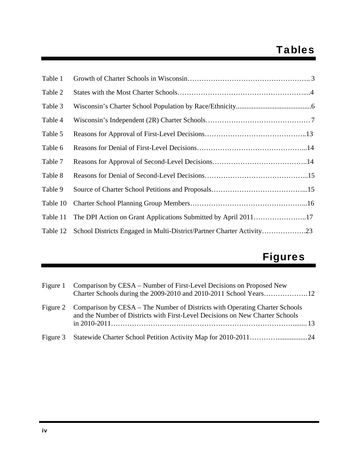# Tables

| Table 1  |                                                                       |
|----------|-----------------------------------------------------------------------|
| Table 2  |                                                                       |
| Table 3  |                                                                       |
| Table 4  |                                                                       |
| Table 5  |                                                                       |
| Table 6  |                                                                       |
| Table 7  |                                                                       |
| Table 8  |                                                                       |
| Table 9  |                                                                       |
| Table 10 |                                                                       |
| Table 11 | The DPI Action on Grant Applications Submitted by April 201117        |
| Table 12 | School Districts Engaged in Multi-District/Partner Charter Activity23 |

# Figures

| Figure 1 | Comparison by CESA – Number of First-Level Decisions on Proposed New                                                                                                  |  |
|----------|-----------------------------------------------------------------------------------------------------------------------------------------------------------------------|--|
|          | Figure 2 Comparison by CESA – The Number of Districts with Operating Charter Schools<br>and the Number of Districts with First-Level Decisions on New Charter Schools |  |
|          |                                                                                                                                                                       |  |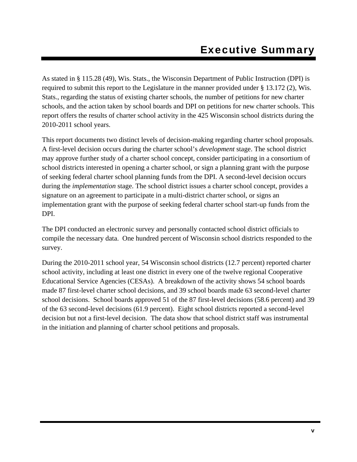As stated in § 115.28 (49), Wis. Stats., the Wisconsin Department of Public Instruction (DPI) is required to submit this report to the Legislature in the manner provided under § 13.172 (2), Wis. Stats., regarding the status of existing charter schools, the number of petitions for new charter schools, and the action taken by school boards and DPI on petitions for new charter schools. This report offers the results of charter school activity in the 425 Wisconsin school districts during the 2010-2011 school years.

This report documents two distinct levels of decision-making regarding charter school proposals. A first-level decision occurs during the charter school's *development* stage. The school district may approve further study of a charter school concept, consider participating in a consortium of school districts interested in opening a charter school, or sign a planning grant with the purpose of seeking federal charter school planning funds from the DPI. A second-level decision occurs during the *implementation* stage. The school district issues a charter school concept, provides a signature on an agreement to participate in a multi-district charter school, or signs an implementation grant with the purpose of seeking federal charter school start-up funds from the DPI.

The DPI conducted an electronic survey and personally contacted school district officials to compile the necessary data. One hundred percent of Wisconsin school districts responded to the survey.

During the 2010-2011 school year, 54 Wisconsin school districts (12.7 percent) reported charter school activity, including at least one district in every one of the twelve regional Cooperative Educational Service Agencies (CESAs). A breakdown of the activity shows 54 school boards made 87 first-level charter school decisions, and 39 school boards made 63 second-level charter school decisions. School boards approved 51 of the 87 first-level decisions (58.6 percent) and 39 of the 63 second-level decisions (61.9 percent). Eight school districts reported a second-level decision but not a first-level decision. The data show that school district staff was instrumental in the initiation and planning of charter school petitions and proposals.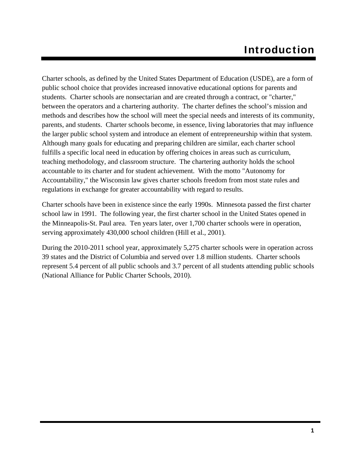Charter schools, as defined by the United States Department of Education (USDE), are a form of public school choice that provides increased innovative educational options for parents and students. Charter schools are nonsectarian and are created through a contract, or "charter," between the operators and a chartering authority. The charter defines the school's mission and methods and describes how the school will meet the special needs and interests of its community, parents, and students. Charter schools become, in essence, living laboratories that may influence the larger public school system and introduce an element of entrepreneurship within that system. Although many goals for educating and preparing children are similar, each charter school fulfills a specific local need in education by offering choices in areas such as curriculum, teaching methodology, and classroom structure. The chartering authority holds the school accountable to its charter and for student achievement. With the motto "Autonomy for Accountability," the Wisconsin law gives charter schools freedom from most state rules and regulations in exchange for greater accountability with regard to results.

Charter schools have been in existence since the early 1990s. Minnesota passed the first charter school law in 1991. The following year, the first charter school in the United States opened in the Minneapolis-St. Paul area. Ten years later, over 1,700 charter schools were in operation, serving approximately 430,000 school children (Hill et al., 2001).

During the 2010-2011 school year, approximately 5,275 charter schools were in operation across 39 states and the District of Columbia and served over 1.8 million students. Charter schools represent 5.4 percent of all public schools and 3.7 percent of all students attending public schools (National Alliance for Public Charter Schools, 2010).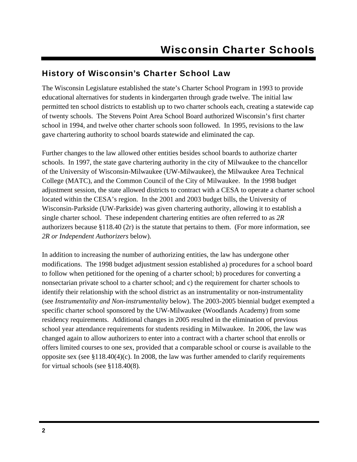### History of Wisconsin's Charter School Law

The Wisconsin Legislature established the state's Charter School Program in 1993 to provide educational alternatives for students in kindergarten through grade twelve. The initial law permitted ten school districts to establish up to two charter schools each, creating a statewide cap of twenty schools. The Stevens Point Area School Board authorized Wisconsin's first charter school in 1994, and twelve other charter schools soon followed. In 1995, revisions to the law gave chartering authority to school boards statewide and eliminated the cap.

Further changes to the law allowed other entities besides school boards to authorize charter schools. In 1997, the state gave chartering authority in the city of Milwaukee to the chancellor of the University of Wisconsin-Milwaukee (UW-Milwaukee), the Milwaukee Area Technical College (MATC), and the Common Council of the City of Milwaukee. In the 1998 budget adjustment session, the state allowed districts to contract with a CESA to operate a charter school located within the CESA's region. In the 2001 and 2003 budget bills, the University of Wisconsin-Parkside (UW-Parkside) was given chartering authority, allowing it to establish a single charter school. These independent chartering entities are often referred to as *2R* authorizers because §118.40 (2r) is the statute that pertains to them. (For more information, see *2R or Independent Authorizers* below).

In addition to increasing the number of authorizing entities, the law has undergone other modifications. The 1998 budget adjustment session established a) procedures for a school board to follow when petitioned for the opening of a charter school; b) procedures for converting a nonsectarian private school to a charter school; and c) the requirement for charter schools to identify their relationship with the school district as an instrumentality or non-instrumentality (see *Instrumentality and Non-instrumentality* below). The 2003-2005 biennial budget exempted a specific charter school sponsored by the UW-Milwaukee (Woodlands Academy) from some residency requirements. Additional changes in 2005 resulted in the elimination of previous school year attendance requirements for students residing in Milwaukee. In 2006, the law was changed again to allow authorizers to enter into a contract with a charter school that enrolls or offers limited courses to one sex, provided that a comparable school or course is available to the opposite sex (see §118.40(4)(c). In 2008, the law was further amended to clarify requirements for virtual schools (see §118.40(8)*.*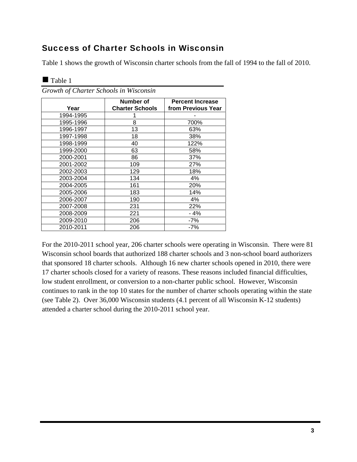### Success of Charter Schools in Wisconsin

Table 1 shows the growth of Wisconsin charter schools from the fall of 1994 to the fall of 2010.

| Year      | Number of<br><b>Charter Schools</b> | <b>Percent Increase</b><br>from Previous Year |  |
|-----------|-------------------------------------|-----------------------------------------------|--|
| 1994-1995 |                                     |                                               |  |
| 1995-1996 | 8                                   | 700%                                          |  |
| 1996-1997 | 13                                  | 63%                                           |  |
| 1997-1998 | 18                                  | 38%                                           |  |
| 1998-1999 | 40                                  | 122%                                          |  |
| 1999-2000 | 63                                  | 58%                                           |  |
| 2000-2001 | 86                                  | 37%                                           |  |
| 2001-2002 | 109                                 | 27%                                           |  |
| 2002-2003 | 129                                 | 18%                                           |  |
| 2003-2004 | 134                                 | 4%                                            |  |
| 2004-2005 | 161                                 | 20%                                           |  |
| 2005-2006 | 183                                 | 14%                                           |  |
| 2006-2007 | 190                                 | 4%                                            |  |
| 2007-2008 | 231                                 | 22%                                           |  |
| 2008-2009 | 221                                 | - 4%                                          |  |
| 2009-2010 | 206                                 | -7%                                           |  |
| 2010-2011 | 206                                 | -7%                                           |  |

*Growth of Charter Schools in Wisconsin* 

Table 1

For the 2010-2011 school year, 206 charter schools were operating in Wisconsin. There were 81 Wisconsin school boards that authorized 188 charter schools and 3 non-school board authorizers that sponsored 18 charter schools. Although 16 new charter schools opened in 2010, there were 17 charter schools closed for a variety of reasons. These reasons included financial difficulties, low student enrollment, or conversion to a non-charter public school. However, Wisconsin continues to rank in the top 10 states for the number of charter schools operating within the state (see Table 2). Over 36,000 Wisconsin students (4.1 percent of all Wisconsin K-12 students) attended a charter school during the 2010-2011 school year.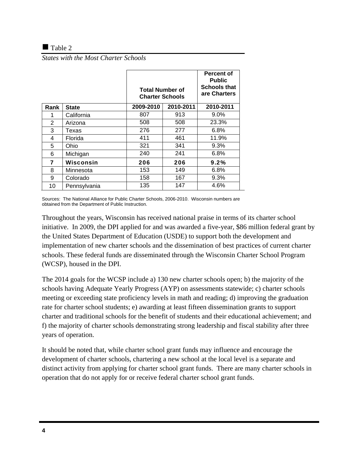### $\blacksquare$  Table 2

*States with the Most Charter Schools* 

|      |              | <b>Total Number of</b><br><b>Charter Schools</b> |           | <b>Percent of</b><br><b>Public</b><br><b>Schools that</b><br>are Charters |
|------|--------------|--------------------------------------------------|-----------|---------------------------------------------------------------------------|
| Rank | <b>State</b> | 2009-2010                                        | 2010-2011 | 2010-2011                                                                 |
| 1    | California   | 807                                              | 913       | 9.0%                                                                      |
| 2    | Arizona      | 508                                              | 508       | 23.3%                                                                     |
| 3    | Texas        | 276                                              | 277       | 6.8%                                                                      |
| 4    | Florida      | 411                                              | 461       | 11.9%                                                                     |
| 5    | Ohio         | 321                                              | 341       | 9.3%                                                                      |
| 6    | Michigan     | 240                                              | 241       | 6.8%                                                                      |
| 7    | Wisconsin    | 206                                              | 206       | 9.2%                                                                      |
| 8    | Minnesota    | 153                                              | 149       | 6.8%                                                                      |
| 9    | Colorado     | 158                                              | 167       | 9.3%                                                                      |
| 10   | Pennsylvania | 135                                              | 147       | 4.6%                                                                      |

Sources: The National Alliance for Public Charter Schools, 2006-2010. Wisconsin numbers are obtained from the Department of Public Instruction.

Throughout the years, Wisconsin has received national praise in terms of its charter school initiative. In 2009, the DPI applied for and was awarded a five-year, \$86 million federal grant by the United States Department of Education (USDE) to support both the development and implementation of new charter schools and the dissemination of best practices of current charter schools. These federal funds are disseminated through the Wisconsin Charter School Program (WCSP), housed in the DPI.

The 2014 goals for the WCSP include a) 130 new charter schools open; b) the majority of the schools having Adequate Yearly Progress (AYP) on assessments statewide; c) charter schools meeting or exceeding state proficiency levels in math and reading; d) improving the graduation rate for charter school students; e) awarding at least fifteen dissemination grants to support charter and traditional schools for the benefit of students and their educational achievement; and f) the majority of charter schools demonstrating strong leadership and fiscal stability after three years of operation.

It should be noted that, while charter school grant funds may influence and encourage the development of charter schools, chartering a new school at the local level is a separate and distinct activity from applying for charter school grant funds. There are many charter schools in operation that do not apply for or receive federal charter school grant funds.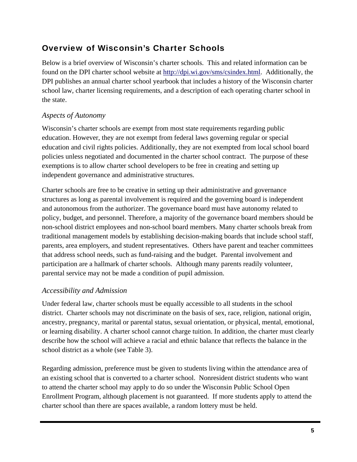### Overview of Wisconsin's Charter Schools

Below is a brief overview of Wisconsin's charter schools. This and related information can be found on the DPI charter school website at http://dpi.wi.gov/sms/csindex.html. Additionally, the DPI publishes an annual charter school yearbook that includes a history of the Wisconsin charter school law, charter licensing requirements, and a description of each operating charter school in the state.

### *Aspects of Autonomy*

Wisconsin's charter schools are exempt from most state requirements regarding public education. However, they are not exempt from federal laws governing regular or special education and civil rights policies. Additionally, they are not exempted from local school board policies unless negotiated and documented in the charter school contract. The purpose of these exemptions is to allow charter school developers to be free in creating and setting up independent governance and administrative structures.

Charter schools are free to be creative in setting up their administrative and governance structures as long as parental involvement is required and the governing board is independent and autonomous from the authorizer. The governance board must have autonomy related to policy, budget, and personnel. Therefore, a majority of the governance board members should be non-school district employees and non-school board members. Many charter schools break from traditional management models by establishing decision-making boards that include school staff, parents, area employers, and student representatives. Others have parent and teacher committees that address school needs, such as fund-raising and the budget. Parental involvement and participation are a hallmark of charter schools. Although many parents readily volunteer, parental service may not be made a condition of pupil admission.

### *Accessibility and Admission*

Under federal law, charter schools must be equally accessible to all students in the school district. Charter schools may not discriminate on the basis of sex, race, religion, national origin, ancestry, pregnancy, marital or parental status, sexual orientation, or physical, mental, emotional, or learning disability. A charter school cannot charge tuition. In addition, the charter must clearly describe how the school will achieve a racial and ethnic balance that reflects the balance in the school district as a whole (see Table 3).

Regarding admission, preference must be given to students living within the attendance area of an existing school that is converted to a charter school. Nonresident district students who want to attend the charter school may apply to do so under the Wisconsin Public School Open Enrollment Program, although placement is not guaranteed. If more students apply to attend the charter school than there are spaces available, a random lottery must be held.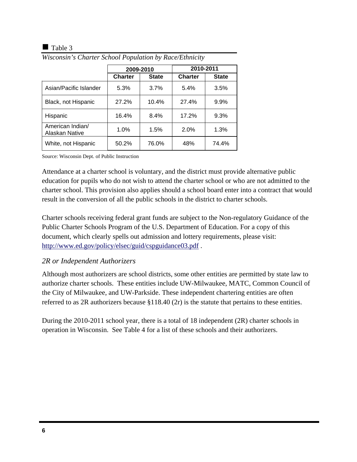### $\blacksquare$  Table 3

|                                    | 2009-2010      |              | 2010-2011      |              |
|------------------------------------|----------------|--------------|----------------|--------------|
|                                    | <b>Charter</b> | <b>State</b> | <b>Charter</b> | <b>State</b> |
| Asian/Pacific Islander             | 5.3%           | 3.7%         | 5.4%           | 3.5%         |
| Black, not Hispanic                | 27.2%          | 10.4%        | 27.4%          | 9.9%         |
| Hispanic                           | 16.4%          | 8.4%         | 17.2%          | 9.3%         |
| American Indian/<br>Alaskan Native | 1.0%           | 1.5%         | 2.0%           | 1.3%         |
| White, not Hispanic                | 50.2%          | 76.0%        | 48%            | 74.4%        |

*Wisconsin's Charter School Population by Race/Ethnicity* 

Source: Wisconsin Dept. of Public Instruction

Attendance at a charter school is voluntary, and the district must provide alternative public education for pupils who do not wish to attend the charter school or who are not admitted to the charter school. This provision also applies should a school board enter into a contract that would result in the conversion of all the public schools in the district to charter schools.

Charter schools receiving federal grant funds are subject to the Non-regulatory Guidance of the Public Charter Schools Program of the U.S. Department of Education. For a copy of this document, which clearly spells out admission and lottery requirements, please visit: http://www.ed.gov/policy/elsec/guid/cspguidance03.pdf .

### *2R or Independent Authorizers*

Although most authorizers are school districts, some other entities are permitted by state law to authorize charter schools. These entities include UW-Milwaukee, MATC, Common Council of the City of Milwaukee, and UW-Parkside. These independent chartering entities are often referred to as 2R authorizers because §118.40 (2r) is the statute that pertains to these entities.

During the 2010-2011 school year, there is a total of 18 independent (2R) charter schools in operation in Wisconsin. See Table 4 for a list of these schools and their authorizers.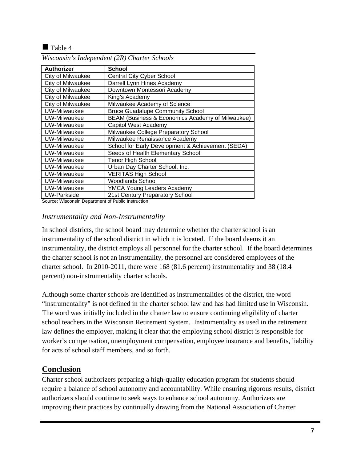### $\blacksquare$  Table 4

| <b>Authorizer</b>   | <b>School</b>                                     |
|---------------------|---------------------------------------------------|
| City of Milwaukee   | <b>Central City Cyber School</b>                  |
| City of Milwaukee   | Darrell Lynn Hines Academy                        |
| City of Milwaukee   | Downtown Montessori Academy                       |
| City of Milwaukee   | King's Academy                                    |
| City of Milwaukee   | Milwaukee Academy of Science                      |
| <b>UW-Milwaukee</b> | <b>Bruce Guadalupe Community School</b>           |
| UW-Milwaukee        | BEAM (Business & Economics Academy of Milwaukee)  |
| UW-Milwaukee        | Capitol West Academy                              |
| UW-Milwaukee        | Milwaukee College Preparatory School              |
| UW-Milwaukee        | Milwaukee Renaissance Academy                     |
| UW-Milwaukee        | School for Early Development & Achievement (SEDA) |
| UW-Milwaukee        | Seeds of Health Elementary School                 |
| UW-Milwaukee        | <b>Tenor High School</b>                          |
| UW-Milwaukee        | Urban Day Charter School, Inc.                    |
| UW-Milwaukee        | <b>VERITAS High School</b>                        |
| UW-Milwaukee        | <b>Woodlands School</b>                           |
| UW-Milwaukee        | <b>YMCA Young Leaders Academy</b>                 |
| <b>UW-Parkside</b>  | 21st Century Preparatory School                   |

*Wisconsin's Independent (2R) Charter Schools* 

Source: Wisconsin Department of Public Instruction

### *Instrumentality and Non-Instrumentality*

In school districts, the school board may determine whether the charter school is an instrumentality of the school district in which it is located. If the board deems it an instrumentality, the district employs all personnel for the charter school. If the board determines the charter school is not an instrumentality, the personnel are considered employees of the charter school. In 2010-2011, there were 168 (81.6 percent) instrumentality and 38 (18.4 percent) non-instrumentality charter schools.

Although some charter schools are identified as instrumentalities of the district, the word "instrumentality" is not defined in the charter school law and has had limited use in Wisconsin. The word was initially included in the charter law to ensure continuing eligibility of charter school teachers in the Wisconsin Retirement System. Instrumentality as used in the retirement law defines the employer, making it clear that the employing school district is responsible for worker's compensation, unemployment compensation, employee insurance and benefits, liability for acts of school staff members, and so forth.

### **Conclusion**

Charter school authorizers preparing a high-quality education program for students should require a balance of school autonomy and accountability. While ensuring rigorous results, district authorizers should continue to seek ways to enhance school autonomy. Authorizers are improving their practices by continually drawing from the National Association of Charter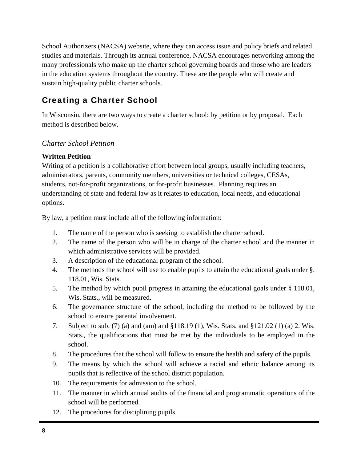School Authorizers (NACSA) website, where they can access issue and policy briefs and related studies and materials. Through its annual conference, NACSA encourages networking among the many professionals who make up the charter school governing boards and those who are leaders in the education systems throughout the country. These are the people who will create and sustain high-quality public charter schools.

## Creating a Charter School

In Wisconsin, there are two ways to create a charter school: by petition or by proposal. Each method is described below.

### *Charter School Petition*

### **Written Petition**

Writing of a petition is a collaborative effort between local groups, usually including teachers, administrators, parents, community members, universities or technical colleges, CESAs, students, not-for-profit organizations, or for-profit businesses. Planning requires an understanding of state and federal law as it relates to education, local needs, and educational options.

By law, a petition must include all of the following information:

- 1. The name of the person who is seeking to establish the charter school.
- 2. The name of the person who will be in charge of the charter school and the manner in which administrative services will be provided.
- 3. A description of the educational program of the school.
- 4. The methods the school will use to enable pupils to attain the educational goals under §. 118.01, Wis. Stats.
- 5. The method by which pupil progress in attaining the educational goals under § 118.01, Wis. Stats., will be measured.
- 6. The governance structure of the school, including the method to be followed by the school to ensure parental involvement.
- 7. Subject to sub. (7) (a) and (am) and §118.19 (1), Wis. Stats. and §121.02 (1) (a) 2. Wis. Stats., the qualifications that must be met by the individuals to be employed in the school.
- 8. The procedures that the school will follow to ensure the health and safety of the pupils.
- 9. The means by which the school will achieve a racial and ethnic balance among its pupils that is reflective of the school district population.
- 10. The requirements for admission to the school.
- 11. The manner in which annual audits of the financial and programmatic operations of the school will be performed.
- 12. The procedures for disciplining pupils.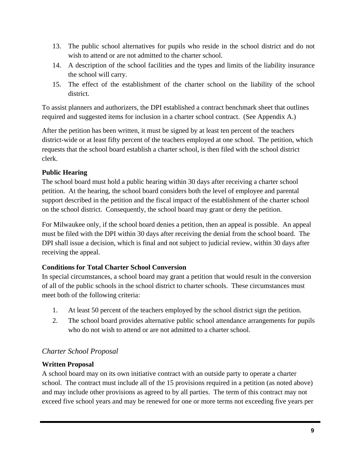- 13. The public school alternatives for pupils who reside in the school district and do not wish to attend or are not admitted to the charter school.
- 14. A description of the school facilities and the types and limits of the liability insurance the school will carry.
- 15. The effect of the establishment of the charter school on the liability of the school district.

To assist planners and authorizers, the DPI established a contract benchmark sheet that outlines required and suggested items for inclusion in a charter school contract. (See Appendix A.)

After the petition has been written, it must be signed by at least ten percent of the teachers district-wide or at least fifty percent of the teachers employed at one school. The petition, which requests that the school board establish a charter school, is then filed with the school district clerk.

### **Public Hearing**

The school board must hold a public hearing within 30 days after receiving a charter school petition. At the hearing, the school board considers both the level of employee and parental support described in the petition and the fiscal impact of the establishment of the charter school on the school district. Consequently, the school board may grant or deny the petition.

For Milwaukee only, if the school board denies a petition, then an appeal is possible. An appeal must be filed with the DPI within 30 days after receiving the denial from the school board. The DPI shall issue a decision, which is final and not subject to judicial review, within 30 days after receiving the appeal.

### **Conditions for Total Charter School Conversion**

In special circumstances, a school board may grant a petition that would result in the conversion of all of the public schools in the school district to charter schools. These circumstances must meet both of the following criteria:

- 1. At least 50 percent of the teachers employed by the school district sign the petition.
- 2. The school board provides alternative public school attendance arrangements for pupils who do not wish to attend or are not admitted to a charter school.

### *Charter School Proposal*

### **Written Proposal**

A school board may on its own initiative contract with an outside party to operate a charter school. The contract must include all of the 15 provisions required in a petition (as noted above) and may include other provisions as agreed to by all parties. The term of this contract may not exceed five school years and may be renewed for one or more terms not exceeding five years per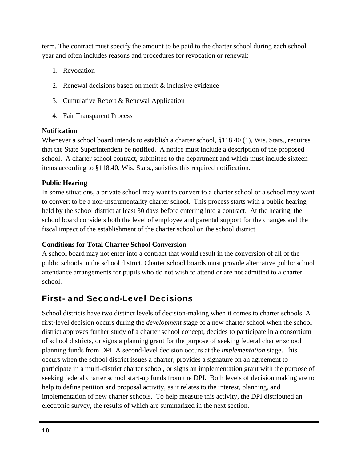term. The contract must specify the amount to be paid to the charter school during each school year and often includes reasons and procedures for revocation or renewal:

- 1. Revocation
- 2. Renewal decisions based on merit & inclusive evidence
- 3. Cumulative Report & Renewal Application
- 4. Fair Transparent Process

### **Notification**

Whenever a school board intends to establish a charter school, §118.40 (1), Wis. Stats., requires that the State Superintendent be notified. A notice must include a description of the proposed school. A charter school contract, submitted to the department and which must include sixteen items according to §118.40, Wis. Stats., satisfies this required notification.

### **Public Hearing**

In some situations, a private school may want to convert to a charter school or a school may want to convert to be a non-instrumentality charter school. This process starts with a public hearing held by the school district at least 30 days before entering into a contract. At the hearing, the school board considers both the level of employee and parental support for the changes and the fiscal impact of the establishment of the charter school on the school district.

### **Conditions for Total Charter School Conversion**

A school board may not enter into a contract that would result in the conversion of all of the public schools in the school district. Charter school boards must provide alternative public school attendance arrangements for pupils who do not wish to attend or are not admitted to a charter school.

### First- and Second-Level Decisions

School districts have two distinct levels of decision-making when it comes to charter schools. A first-level decision occurs during the *development* stage of a new charter school when the school district approves further study of a charter school concept, decides to participate in a consortium of school districts, or signs a planning grant for the purpose of seeking federal charter school planning funds from DPI. A second-level decision occurs at the *implementation* stage. This occurs when the school district issues a charter, provides a signature on an agreement to participate in a multi-district charter school, or signs an implementation grant with the purpose of seeking federal charter school start-up funds from the DPI. Both levels of decision making are to help to define petition and proposal activity, as it relates to the interest, planning, and implementation of new charter schools. To help measure this activity, the DPI distributed an electronic survey, the results of which are summarized in the next section.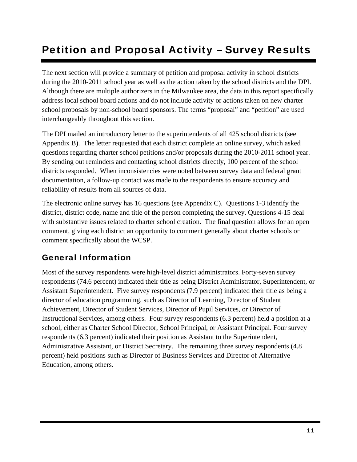# Petition and Proposal Activity – Survey Results

The next section will provide a summary of petition and proposal activity in school districts during the 2010-2011 school year as well as the action taken by the school districts and the DPI. Although there are multiple authorizers in the Milwaukee area, the data in this report specifically address local school board actions and do not include activity or actions taken on new charter school proposals by non-school board sponsors. The terms "proposal" and "petition" are used interchangeably throughout this section.

The DPI mailed an introductory letter to the superintendents of all 425 school districts (see Appendix B). The letter requested that each district complete an online survey, which asked questions regarding charter school petitions and/or proposals during the 2010-2011 school year. By sending out reminders and contacting school districts directly, 100 percent of the school districts responded. When inconsistencies were noted between survey data and federal grant documentation, a follow-up contact was made to the respondents to ensure accuracy and reliability of results from all sources of data.

The electronic online survey has 16 questions (see Appendix C). Questions 1-3 identify the district, district code, name and title of the person completing the survey. Questions 4-15 deal with substantive issues related to charter school creation. The final question allows for an open comment, giving each district an opportunity to comment generally about charter schools or comment specifically about the WCSP.

### General Information

Most of the survey respondents were high-level district administrators. Forty-seven survey respondents (74.6 percent) indicated their title as being District Administrator, Superintendent, or Assistant Superintendent. Five survey respondents (7.9 percent) indicated their title as being a director of education programming, such as Director of Learning, Director of Student Achievement, Director of Student Services, Director of Pupil Services, or Director of Instructional Services, among others. Four survey respondents (6.3 percent) held a position at a school, either as Charter School Director, School Principal, or Assistant Principal. Four survey respondents (6.3 percent) indicated their position as Assistant to the Superintendent, Administrative Assistant, or District Secretary. The remaining three survey respondents (4.8 percent) held positions such as Director of Business Services and Director of Alternative Education, among others.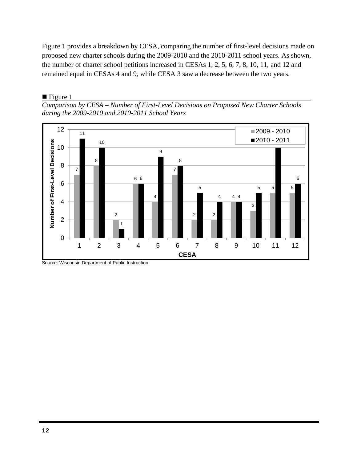Figure 1 provides a breakdown by CESA, comparing the number of first-level decisions made on proposed new charter schools during the 2009-2010 and the 2010-2011 school years. As shown, the number of charter school petitions increased in CESAs 1, 2, 5, 6, 7, 8, 10, 11, and 12 and remained equal in CESAs 4 and 9, while CESA 3 saw a decrease between the two years.

 $\blacksquare$  Figure 1

*Comparison by CESA – Number of First-Level Decisions on Proposed New Charter Schools during the 2009-2010 and 2010-2011 School Years* 



Source: Wisconsin Department of Public Instruction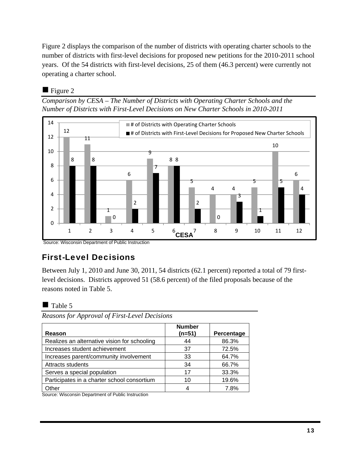Figure 2 displays the comparison of the number of districts with operating charter schools to the number of districts with first-level decisions for proposed new petitions for the 2010-2011 school years. Of the 54 districts with first-level decisions, 25 of them (46.3 percent) were currently not operating a charter school.

### $\blacksquare$  Figure 2

*Comparison by CESA – The Number of Districts with Operating Charter Schools and the Number of Districts with First-Level Decisions on New Charter Schools in 2010-2011* 



Source: Wisconsin Department of Public Instruction

# First-Level Decisions

Between July 1, 2010 and June 30, 2011, 54 districts (62.1 percent) reported a total of 79 firstlevel decisions. Districts approved 51 (58.6 percent) of the filed proposals because of the reasons noted in Table 5.

### $\blacksquare$  Table 5

*Reasons for Approval of First-Level Decisions* 

| Reason                                       | <b>Number</b><br>(n=51) | Percentage |
|----------------------------------------------|-------------------------|------------|
| Realizes an alternative vision for schooling | 44                      | 86.3%      |
| Increases student achievement                | 37                      | 72.5%      |
| Increases parent/community involvement       | 33                      | 64.7%      |
| Attracts students                            | 34                      | 66.7%      |
| Serves a special population                  | 17                      | 33.3%      |
| Participates in a charter school consortium  | 10                      | 19.6%      |
| Other                                        |                         | 7.8%       |

Source: Wisconsin Department of Public Instruction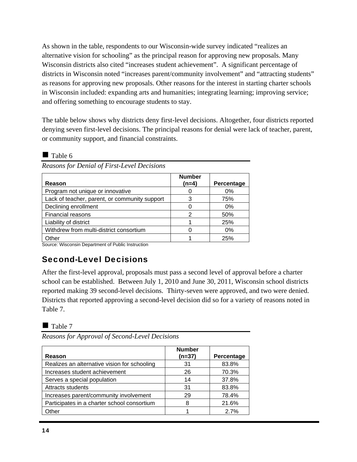As shown in the table, respondents to our Wisconsin-wide survey indicated "realizes an alternative vision for schooling" as the principal reason for approving new proposals. Many Wisconsin districts also cited "increases student achievement". A significant percentage of districts in Wisconsin noted "increases parent/community involvement" and "attracting students" as reasons for approving new proposals. Other reasons for the interest in starting charter schools in Wisconsin included: expanding arts and humanities; integrating learning; improving service; and offering something to encourage students to stay.

The table below shows why districts deny first-level decisions. Altogether, four districts reported denying seven first-level decisions. The principal reasons for denial were lack of teacher, parent, or community support, and financial constraints.

| Table |
|-------|
|-------|

*Reasons for Denial of First-Level Decisions* 

| Reason                                        | <b>Number</b><br>$(n=4)$ | Percentage |
|-----------------------------------------------|--------------------------|------------|
| Program not unique or innovative              |                          | $0\%$      |
| Lack of teacher, parent, or community support |                          | 75%        |
| Declining enrollment                          |                          | $0\%$      |
| Financial reasons                             |                          | 50%        |
| Liability of district                         |                          | 25%        |
| Withdrew from multi-district consortium       |                          | $0\%$      |
| Other                                         |                          | 25%        |

Source: Wisconsin Department of Public Instruction

## Second-Level Decisions

After the first-level approval, proposals must pass a second level of approval before a charter school can be established. Between July 1, 2010 and June 30, 2011, Wisconsin school districts reported making 39 second-level decisions. Thirty-seven were approved, and two were denied. Districts that reported approving a second-level decision did so for a variety of reasons noted in Table 7.

 $\blacksquare$  Table 7

*Reasons for Approval of Second-Level Decisions* 

| Reason                                       | <b>Number</b><br>$(n=37)$ | Percentage |
|----------------------------------------------|---------------------------|------------|
| Realizes an alternative vision for schooling | 31                        | 83.8%      |
| Increases student achievement                | 26                        | 70.3%      |
| Serves a special population                  | 14                        | 37.8%      |
| Attracts students                            | 31                        | 83.8%      |
| Increases parent/community involvement       | 29                        | 78.4%      |
| Participates in a charter school consortium  | 8                         | 21.6%      |
| Other                                        |                           | 2.7%       |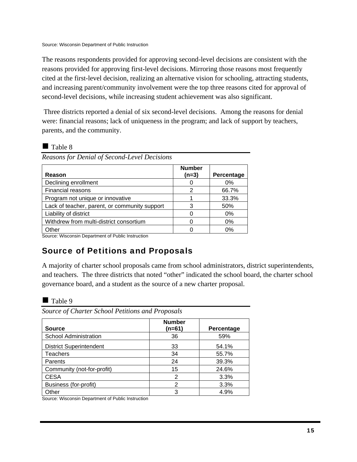Source: Wisconsin Department of Public Instruction

The reasons respondents provided for approving second-level decisions are consistent with the reasons provided for approving first-level decisions. Mirroring those reasons most frequently cited at the first-level decision, realizing an alternative vision for schooling, attracting students, and increasing parent/community involvement were the top three reasons cited for approval of second-level decisions, while increasing student achievement was also significant.

 Three districts reported a denial of six second-level decisions. Among the reasons for denial were: financial reasons; lack of uniqueness in the program; and lack of support by teachers, parents, and the community.

### **Table 8**

|  |  | Reasons for Denial of Second-Level Decisions |
|--|--|----------------------------------------------|
|  |  |                                              |

| Reason                                        | <b>Number</b><br>$(n=3)$ | Percentage |
|-----------------------------------------------|--------------------------|------------|
| Declining enrollment                          |                          | $0\%$      |
| Financial reasons                             | 2                        | 66.7%      |
| Program not unique or innovative              |                          | 33.3%      |
| Lack of teacher, parent, or community support | 3                        | 50%        |
| Liability of district                         | O                        | $0\%$      |
| Withdrew from multi-district consortium       |                          | 0%         |
| Other                                         |                          | 0%         |

Source: Wisconsin Department of Public Instruction

## Source of Petitions and Proposals

A majority of charter school proposals came from school administrators, district superintendents, and teachers. The three districts that noted "other" indicated the school board, the charter school governance board, and a student as the source of a new charter proposal.

### $\blacksquare$  Table 9

*Source of Charter School Petitions and Proposals* 

| <b>Source</b>                  | <b>Number</b><br>(n=61) | Percentage |
|--------------------------------|-------------------------|------------|
| <b>School Administration</b>   | 36                      | 59%        |
| <b>District Superintendent</b> | 33                      | 54.1%      |
| Teachers                       | 34                      | 55.7%      |
| Parents                        | 24                      | 39.3%      |
| Community (not-for-profit)     | 15                      | 24.6%      |
| <b>CESA</b>                    | 2                       | 3.3%       |
| Business (for-profit)          | 2                       | 3.3%       |
| Other                          | 3                       | 4.9%       |

Source: Wisconsin Department of Public Instruction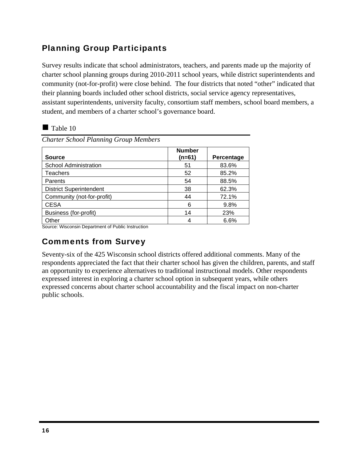### Planning Group Participants

Survey results indicate that school administrators, teachers, and parents made up the majority of charter school planning groups during 2010-2011 school years, while district superintendents and community (not-for-profit) were close behind. The four districts that noted "other" indicated that their planning boards included other school districts, social service agency representatives, assistant superintendents, university faculty, consortium staff members, school board members, a student, and members of a charter school's governance board.

### $\blacksquare$  Table 10

| <b>Source</b>                  | <b>Number</b><br>(n=61) | Percentage |
|--------------------------------|-------------------------|------------|
| <b>School Administration</b>   | 51                      | 83.6%      |
| <b>Teachers</b>                | 52                      | 85.2%      |
| Parents                        | 54                      | 88.5%      |
| <b>District Superintendent</b> | 38                      | 62.3%      |
| Community (not-for-profit)     | 44                      | 72.1%      |
| <b>CESA</b>                    | 6                       | 9.8%       |
| Business (for-profit)          | 14                      | 23%        |
| Other                          |                         | 6.6%       |

*Charter School Planning Group Members* 

Source: Wisconsin Department of Public Instruction

### Comments from Survey

Seventy-six of the 425 Wisconsin school districts offered additional comments. Many of the respondents appreciated the fact that their charter school has given the children, parents, and staff an opportunity to experience alternatives to traditional instructional models. Other respondents expressed interest in exploring a charter school option in subsequent years, while others expressed concerns about charter school accountability and the fiscal impact on non-charter public schools.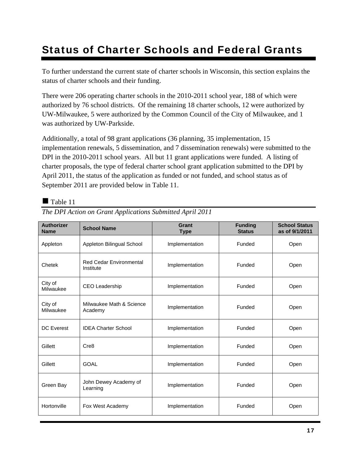# Status of Charter Schools and Federal Grants

To further understand the current state of charter schools in Wisconsin, this section explains the status of charter schools and their funding.

There were 206 operating charter schools in the 2010-2011 school year, 188 of which were authorized by 76 school districts. Of the remaining 18 charter schools, 12 were authorized by UW-Milwaukee, 5 were authorized by the Common Council of the City of Milwaukee, and 1 was authorized by UW-Parkside.

Additionally, a total of 98 grant applications (36 planning, 35 implementation, 15 implementation renewals, 5 dissemination, and 7 dissemination renewals) were submitted to the DPI in the 2010-2011 school years. All but 11 grant applications were funded. A listing of charter proposals, the type of federal charter school grant application submitted to the DPI by April 2011, the status of the application as funded or not funded, and school status as of September 2011 are provided below in Table 11.

### $\blacksquare$  Table 11

| <b>Authorizer</b><br><b>Name</b> | <b>School Name</b>                          | Grant<br><b>Type</b> | <b>Funding</b><br><b>Status</b> | <b>School Status</b><br>as of 9/1/2011 |
|----------------------------------|---------------------------------------------|----------------------|---------------------------------|----------------------------------------|
| Appleton                         | Appleton Bilingual School                   | Implementation       | Funded                          | Open                                   |
| Chetek                           | <b>Red Cedar Environmental</b><br>Institute | Implementation       | Funded                          | Open                                   |
| City of<br>Milwaukee             | <b>CEO Leadership</b>                       | Implementation       | Funded                          | Open                                   |
| City of<br>Milwaukee             | Milwaukee Math & Science<br>Academy         | Implementation       | Funded                          | Open                                   |
| <b>DC</b> Everest                | <b>IDEA Charter School</b>                  | Implementation       | Funded                          | Open                                   |
| Gillett                          | Cre8                                        | Implementation       | Funded                          | Open                                   |
| Gillett                          | <b>GOAL</b>                                 | Implementation       | Funded                          | Open                                   |
| Green Bay                        | John Dewey Academy of<br>Learning           | Implementation       | Funded                          | Open                                   |
| Hortonville                      | Fox West Academy                            | Implementation       | Funded                          | Open                                   |

*The DPI Action on Grant Applications Submitted April 2011*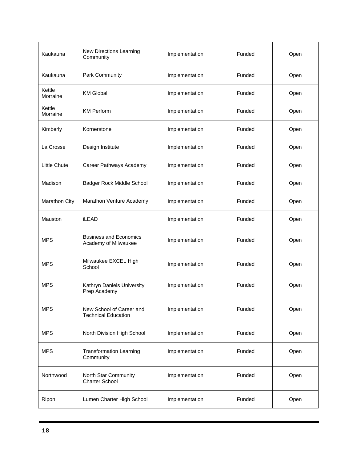| Kaukauna            | New Directions Learning<br>Community                   | Implementation | Funded | Open |
|---------------------|--------------------------------------------------------|----------------|--------|------|
| Kaukauna            | <b>Park Community</b>                                  | Implementation | Funded | Open |
| Kettle<br>Morraine  | <b>KM Global</b>                                       | Implementation | Funded | Open |
| Kettle<br>Morraine  | <b>KM Perform</b>                                      | Implementation | Funded | Open |
| Kimberly            | Kornerstone                                            | Implementation | Funded | Open |
| La Crosse           | Design Institute                                       | Implementation | Funded | Open |
| <b>Little Chute</b> | Career Pathways Academy                                | Implementation | Funded | Open |
| Madison             | Badger Rock Middle School                              | Implementation | Funded | Open |
| Marathon City       | Marathon Venture Academy                               | Implementation | Funded | Open |
| Mauston             | iLEAD                                                  | Implementation | Funded | Open |
| <b>MPS</b>          | <b>Business and Economics</b><br>Academy of Milwaukee  | Implementation | Funded | Open |
| <b>MPS</b>          | Milwaukee EXCEL High<br>School                         | Implementation | Funded | Open |
| <b>MPS</b>          | Kathryn Daniels University<br>Prep Academy             | Implementation | Funded | Open |
| <b>MPS</b>          | New School of Career and<br><b>Technical Education</b> | Implementation | Funded | Open |
| <b>MPS</b>          | North Division High School                             | Implementation | Funded | Open |
| <b>MPS</b>          | <b>Transformation Learning</b><br>Community            | Implementation | Funded | Open |
| Northwood           | North Star Community<br><b>Charter School</b>          | Implementation | Funded | Open |
| Ripon               | Lumen Charter High School                              | Implementation | Funded | Open |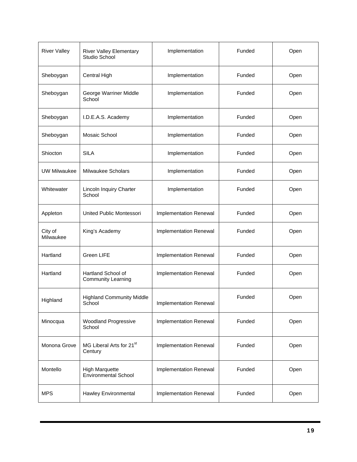| <b>River Valley</b>  | <b>River Valley Elementary</b><br>Studio School      | Implementation         | Funded | Open |
|----------------------|------------------------------------------------------|------------------------|--------|------|
| Sheboygan            | Central High                                         | Implementation         | Funded | Open |
| Sheboygan            | George Warriner Middle<br>School                     | Implementation         | Funded | Open |
| Sheboygan            | I.D.E.A.S. Academy                                   | Implementation         | Funded | Open |
| Sheboygan            | Mosaic School                                        | Implementation         | Funded | Open |
| Shiocton             | <b>SILA</b>                                          | Implementation         | Funded | Open |
| <b>UW Milwaukee</b>  | Milwaukee Scholars                                   | Implementation         | Funded | Open |
| Whitewater           | Lincoln Inquiry Charter<br>School                    | Implementation         | Funded | Open |
| Appleton             | United Public Montessori                             | Implementation Renewal | Funded | Open |
| City of<br>Milwaukee | King's Academy                                       | Implementation Renewal | Funded | Open |
| Hartland             | Green LIFE                                           | Implementation Renewal | Funded | Open |
| Hartland             | Hartland School of<br><b>Community Learning</b>      | Implementation Renewal | Funded | Open |
| Highland             | <b>Highland Community Middle</b><br>School           | Implementation Renewal | Funded | Open |
| Minocqua             | Woodland Progressive<br>School                       | Implementation Renewal | Funded | Open |
| Monona Grove         | MG Liberal Arts for 21 <sup>st</sup><br>Century      | Implementation Renewal | Funded | Open |
| Montello             | <b>High Marquette</b><br><b>Environmental School</b> | Implementation Renewal | Funded | Open |
| <b>MPS</b>           | Hawley Environmental                                 | Implementation Renewal | Funded | Open |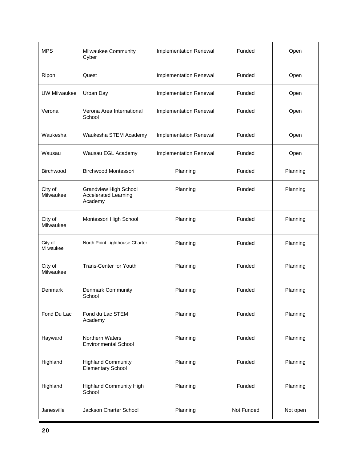| <b>MPS</b>           | Milwaukee Community<br>Cyber                                    | Implementation Renewal | Funded     | Open     |
|----------------------|-----------------------------------------------------------------|------------------------|------------|----------|
| Ripon                | Quest                                                           | Implementation Renewal | Funded     | Open     |
| <b>UW Milwaukee</b>  | Urban Day                                                       | Implementation Renewal | Funded     | Open     |
| Verona               | Verona Area International<br>School                             | Implementation Renewal | Funded     | Open     |
| Waukesha             | Waukesha STEM Academy                                           | Implementation Renewal | Funded     | Open     |
| Wausau               | Wausau EGL Academy                                              | Implementation Renewal | Funded     | Open     |
| Birchwood            | <b>Birchwood Montessori</b>                                     | Planning               | Funded     | Planning |
| City of<br>Milwaukee | Grandview High School<br><b>Accelerated Learning</b><br>Academy | Planning               | Funded     | Planning |
| City of<br>Milwaukee | Montessori High School                                          | Planning               | Funded     | Planning |
| City of<br>Milwaukee | North Point Lighthouse Charter                                  | Planning               | Funded     | Planning |
| City of<br>Milwaukee | <b>Trans-Center for Youth</b>                                   | Planning               | Funded     | Planning |
| Denmark              | <b>Denmark Community</b><br>School                              | Planning               | Funded     | Planning |
| Fond Du Lac          | Fond du Lac STEM<br>Academy                                     | Planning               | Funded     | Planning |
| Hayward              | Northern Waters<br><b>Environmental School</b>                  | Planning               | Funded     | Planning |
| Highland             | <b>Highland Community</b><br><b>Elementary School</b>           | Planning               | Funded     | Planning |
| Highland             | <b>Highland Community High</b><br>School                        | Planning               | Funded     | Planning |
| Janesville           | Jackson Charter School                                          | Planning               | Not Funded | Not open |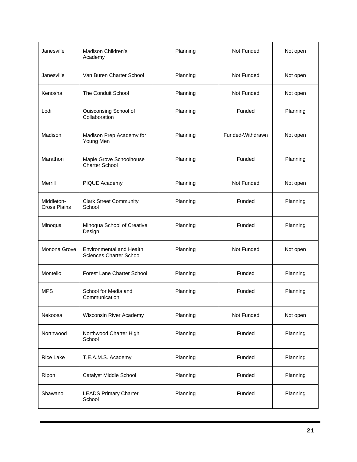| Janesville                        | Madison Children's<br>Academy                              | Planning | Not Funded       | Not open |
|-----------------------------------|------------------------------------------------------------|----------|------------------|----------|
| Janesville                        | Van Buren Charter School                                   | Planning | Not Funded       | Not open |
| Kenosha                           | <b>The Conduit School</b>                                  | Planning | Not Funded       | Not open |
| Lodi                              | Ouisconsing School of<br>Collaboration                     | Planning | Funded           | Planning |
| Madison                           | Madison Prep Academy for<br>Young Men                      | Planning | Funded-Withdrawn | Not open |
| Marathon                          | Maple Grove Schoolhouse<br><b>Charter School</b>           | Planning | Funded           | Planning |
| Merrill                           | PIQUE Academy                                              | Planning | Not Funded       | Not open |
| Middleton-<br><b>Cross Plains</b> | <b>Clark Street Community</b><br>School                    | Planning | Funded           | Planning |
| Minoqua                           | Minoqua School of Creative<br>Design                       | Planning | Funded           | Planning |
| Monona Grove                      | <b>Environmental and Health</b><br>Sciences Charter School | Planning | Not Funded       | Not open |
| Montello                          | <b>Forest Lane Charter School</b>                          | Planning | Funded           | Planning |
| <b>MPS</b>                        | School for Media and<br>Communication                      | Planning | Funded           | Planning |
| Nekoosa                           | Wisconsin River Academy                                    | Planning | Not Funded       | Not open |
| Northwood                         | Northwood Charter High<br>School                           | Planning | Funded           | Planning |
| Rice Lake                         | T.E.A.M.S. Academy                                         | Planning | Funded           | Planning |
| Ripon                             | Catalyst Middle School                                     | Planning | Funded           | Planning |
| Shawano                           | <b>LEADS Primary Charter</b><br>School                     | Planning | Funded           | Planning |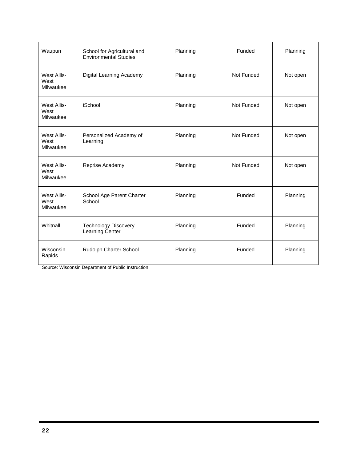| Waupun                           | School for Agricultural and<br><b>Environmental Studies</b> | Planning | Funded     | Planning |
|----------------------------------|-------------------------------------------------------------|----------|------------|----------|
| West Allis-<br>West<br>Milwaukee | Digital Learning Academy                                    | Planning | Not Funded | Not open |
| West Allis-<br>West<br>Milwaukee | iSchool                                                     | Planning | Not Funded | Not open |
| West Allis-<br>West<br>Milwaukee | Personalized Academy of<br>Learning                         | Planning | Not Funded | Not open |
| West Allis-<br>West<br>Milwaukee | Reprise Academy                                             | Planning | Not Funded | Not open |
| West Allis-<br>West<br>Milwaukee | School Age Parent Charter<br>School                         | Planning | Funded     | Planning |
| Whitnall                         | <b>Technology Discovery</b><br>Learning Center              | Planning | Funded     | Planning |
| Wisconsin<br>Rapids              | Rudolph Charter School                                      | Planning | Funded     | Planning |

Source: Wisconsin Department of Public Instruction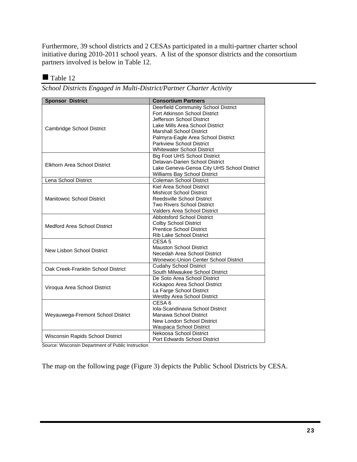Furthermore, 39 school districts and 2 CESAs participated in a multi-partner charter school initiative during 2010-2011 school years. A list of the sponsor districts and the consortium partners involved is below in Table 12.

Table 12

*School Districts Engaged in Multi-District/Partner Charter Activity* 

| <b>Sponsor District</b>             | <b>Consortium Partners</b>                  |
|-------------------------------------|---------------------------------------------|
|                                     | Deerfield Community School District         |
|                                     | Fort Atkinson School District               |
|                                     | Jefferson School District                   |
| Cambridge School District           | Lake Mills Area School District             |
|                                     | <b>Marshall School District</b>             |
|                                     | Palmyra-Eagle Area School District          |
|                                     | <b>Parkview School District</b>             |
|                                     | <b>Whitewater School District</b>           |
|                                     | <b>Big Foot UHS School District</b>         |
| <b>Elkhorn Area School District</b> | Delavan-Darien School District              |
|                                     | Lake Geneva-Genoa City UHS School District  |
|                                     | Williams Bay School District                |
| Lena School District                | <b>Coleman School District</b>              |
|                                     | Kiel Area School District                   |
|                                     | <b>Mishicot School District</b>             |
| Manitowoc School District           | Reedsville School District                  |
|                                     | <b>Two Rivers School District</b>           |
|                                     | Valders Area School District                |
|                                     | <b>Abbotsford School District</b>           |
| Medford Area School District        | <b>Colby School District</b>                |
|                                     | <b>Prentice School District</b>             |
|                                     | Rib Lake School District                    |
|                                     | CESA <sub>5</sub>                           |
| New Lisbon School District          | <b>Mauston School District</b>              |
|                                     | Necedah Area School District                |
|                                     | <b>Wonewoc-Union Center School District</b> |
| Oak Creek-Franklin School District  | <b>Cudahy School District</b>               |
|                                     | South Milwaukee School District             |
|                                     | De Soto Area School District                |
|                                     | Kickapoo Area School District               |
| Viroqua Area School District        | La Farge School District                    |
|                                     | Westby Area School District                 |
|                                     | CESA <sub>6</sub>                           |
|                                     | Iola-Scandinavia School District            |
| Weyauwega-Fremont School District   | Manawa School District                      |
|                                     | New London School District                  |
|                                     | Waupaca School District                     |
|                                     | Nekoosa School District                     |
| Wisconsin Rapids School District    | Port Edwards School District                |

Source: Wisconsin Department of Public Instruction

The map on the following page (Figure 3) depicts the Public School Districts by CESA.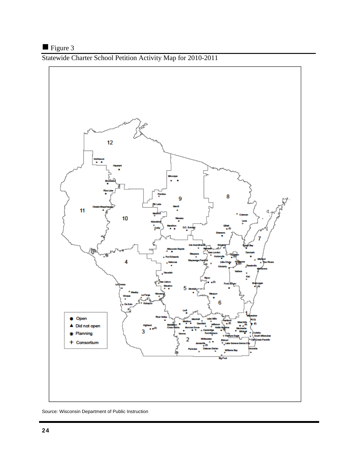## Figure 3

Statewide Charter School Petition Activity Map for 2010-2011



Source: Wisconsin Department of Public Instruction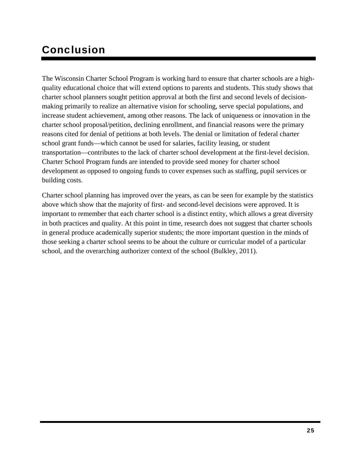# Conclusion

The Wisconsin Charter School Program is working hard to ensure that charter schools are a highquality educational choice that will extend options to parents and students. This study shows that charter school planners sought petition approval at both the first and second levels of decisionmaking primarily to realize an alternative vision for schooling, serve special populations, and increase student achievement, among other reasons. The lack of uniqueness or innovation in the charter school proposal/petition, declining enrollment, and financial reasons were the primary reasons cited for denial of petitions at both levels. The denial or limitation of federal charter school grant funds—which cannot be used for salaries, facility leasing, or student transportation—contributes to the lack of charter school development at the first-level decision. Charter School Program funds are intended to provide seed money for charter school development as opposed to ongoing funds to cover expenses such as staffing, pupil services or building costs.

Charter school planning has improved over the years, as can be seen for example by the statistics above which show that the majority of first- and second-level decisions were approved. It is important to remember that each charter school is a distinct entity, which allows a great diversity in both practices and quality. At this point in time, research does not suggest that charter schools in general produce academically superior students; the more important question in the minds of those seeking a charter school seems to be about the culture or curricular model of a particular school, and the overarching authorizer context of the school (Bulkley, 2011).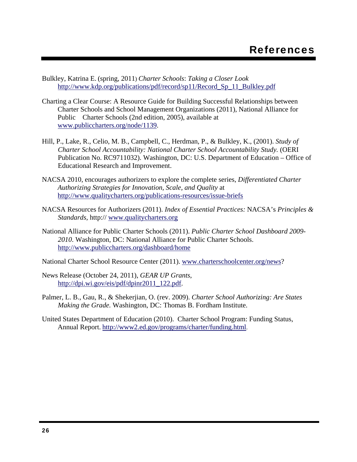- Bulkley, Katrina E. (spring, 2011) *Charter Schools*: *Taking a Closer Look*  http://www.kdp.org/publications/pdf/record/sp11/Record\_Sp\_11\_Bulkley.pdf
- Charting a Clear Course: A Resource Guide for Building Successful Relationships between Charter Schools and School Management Organizations (2011), National Alliance for Public Charter Schools (2nd edition, 2005), available at www.publiccharters.org/node/1139.
- Hill, P., Lake, R., Celio, M. B., Campbell, C., Herdman, P., & Bulkley, K., (2001). *Study of Charter School Accountability: National Charter School Accountability Study.* (OERI Publication No. RC9711032). Washington, DC: U.S. Department of Education – Office of Educational Research and Improvement.
- NACSA 2010, encourages authorizers to explore the complete series, *Differentiated Charter Authorizing Strategies for Innovation, Scale, and Quality* at http://www.qualitycharters.org/publications-resources/issue-briefs
- NACSA Resources for Authorizers (2011). *Index of Essential Practices:* NACSA's *Principles & Standards,* http:// www.qualitycharters.org
- National Alliance for Public Charter Schools (2011). *Public Charter School Dashboard 2009- 2010*. Washington, DC: National Alliance for Public Charter Schools. http://www.publiccharters.org/dashboard/home

National Charter School Resource Center (2011). www.charterschoolcenter.org/news?

- News Release (October 24, 2011), *GEAR UP Grants*, http://dpi.wi.gov/eis/pdf/dpinr2011\_122.pdf.
- Palmer, L. B., Gau, R., & Shekerjian, O. (rev. 2009). *Charter School Authorizing: Are States Making the Grade.* Washington, DC: Thomas B. Fordham Institute.
- United States Department of Education (2010). Charter School Program: Funding Status, Annual Report. http://www2.ed.gov/programs/charter/funding.html.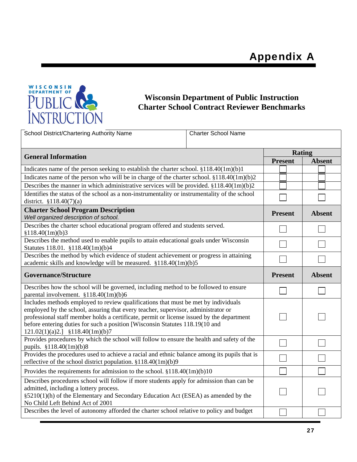

### **Wisconsin Department of Public Instruction Charter School Contract Reviewer Benchmarks**

| School District/Chartering Authority Name                                                                                                                                                                                                                                                                                                                                                  | <b>Charter School Name</b> |                |               |
|--------------------------------------------------------------------------------------------------------------------------------------------------------------------------------------------------------------------------------------------------------------------------------------------------------------------------------------------------------------------------------------------|----------------------------|----------------|---------------|
| <b>General Information</b>                                                                                                                                                                                                                                                                                                                                                                 |                            | Rating         |               |
|                                                                                                                                                                                                                                                                                                                                                                                            |                            | <b>Present</b> | <b>Absent</b> |
| Indicates name of the person seeking to establish the charter school. $$118.40(1m)(b)1$                                                                                                                                                                                                                                                                                                    |                            |                |               |
| Indicates name of the person who will be in charge of the charter school. §118.40(1m)(b)2                                                                                                                                                                                                                                                                                                  |                            |                |               |
| Describes the manner in which administrative services will be provided. $$118.40(1m)(b)2$                                                                                                                                                                                                                                                                                                  |                            |                |               |
| Identifies the status of the school as a non-instrumentality or instrumentality of the school<br>district. $$118.40(7)(a)$                                                                                                                                                                                                                                                                 |                            |                |               |
| <b>Charter School Program Description</b><br>Well organized description of school.                                                                                                                                                                                                                                                                                                         |                            | <b>Present</b> | <b>Absent</b> |
| Describes the charter school educational program offered and students served.<br>\$118.40(1m)(b)3                                                                                                                                                                                                                                                                                          |                            |                |               |
| Describes the method used to enable pupils to attain educational goals under Wisconsin<br>Statutes 118.01. §118.40(1m)(b)4                                                                                                                                                                                                                                                                 |                            |                |               |
| Describes the method by which evidence of student achievement or progress in attaining<br>academic skills and knowledge will be measured. §118.40(1m)(b)5                                                                                                                                                                                                                                  |                            |                |               |
| <b>Governance/Structure</b>                                                                                                                                                                                                                                                                                                                                                                |                            | <b>Present</b> | <b>Absent</b> |
| Describes how the school will be governed, including method to be followed to ensure<br>parental involvement. §118.40(1m)(b)6                                                                                                                                                                                                                                                              |                            |                |               |
| Includes methods employed to review qualifications that must be met by individuals<br>employed by the school, assuring that every teacher, supervisor, administrator or<br>professional staff member holds a certificate, permit or license issued by the department<br>before entering duties for such a position [Wisconsin Statutes 118.19(10 and<br>$121.02(1)(a)2.$ ] §118.40(1m)(b)7 |                            |                |               |
| Provides procedures by which the school will follow to ensure the health and safety of the<br>pupils. §118.40(1m)(b)8                                                                                                                                                                                                                                                                      |                            |                |               |
| Provides the procedures used to achieve a racial and ethnic balance among its pupils that is<br>reflective of the school district population. §118.40(1m)(b)9                                                                                                                                                                                                                              |                            |                |               |
| Provides the requirements for admission to the school. $$118.40(1m)(b)10$                                                                                                                                                                                                                                                                                                                  |                            |                |               |
| Describes procedures school will follow if more students apply for admission than can be<br>admitted, including a lottery process.<br>§5210(1)(h) of the Elementary and Secondary Education Act (ESEA) as amended by the<br>No Child Left Behind Act of 2001                                                                                                                               |                            |                |               |
| Describes the level of autonomy afforded the charter school relative to policy and budget                                                                                                                                                                                                                                                                                                  |                            |                |               |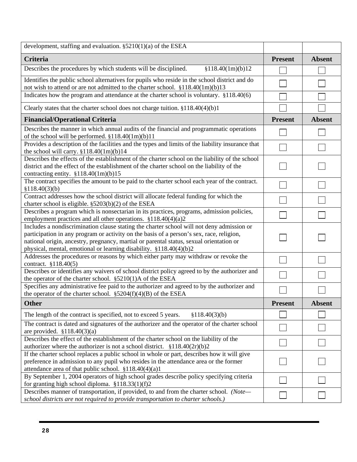| development, staffing and evaluation. $\S$ 5210(1)(a) of the ESEA                                                                                                                                                                                                                                                                                      |                |               |
|--------------------------------------------------------------------------------------------------------------------------------------------------------------------------------------------------------------------------------------------------------------------------------------------------------------------------------------------------------|----------------|---------------|
| Criteria                                                                                                                                                                                                                                                                                                                                               | <b>Present</b> | <b>Absent</b> |
| Describes the procedures by which students will be disciplined.<br>\$118.40(1m)(b)12                                                                                                                                                                                                                                                                   |                |               |
| Identifies the public school alternatives for pupils who reside in the school district and do<br>not wish to attend or are not admitted to the charter school. §118.40(1m)(b)13                                                                                                                                                                        |                |               |
| Indicates how the program and attendance at the charter school is voluntary. §118.40(6)                                                                                                                                                                                                                                                                |                |               |
| Clearly states that the charter school does not charge tuition. $$118.40(4)(b)1$                                                                                                                                                                                                                                                                       |                |               |
| <b>Financial/Operational Criteria</b>                                                                                                                                                                                                                                                                                                                  | <b>Present</b> | <b>Absent</b> |
| Describes the manner in which annual audits of the financial and programmatic operations<br>of the school will be performed. §118.40(1m)(b)11                                                                                                                                                                                                          |                |               |
| Provides a description of the facilities and the types and limits of the liability insurance that<br>the school will carry. $$118.40(1m)(b)14$                                                                                                                                                                                                         |                |               |
| Describes the effects of the establishment of the charter school on the liability of the school<br>district and the effect of the establishment of the charter school on the liability of the<br>contracting entity. $$118.40(1m)(b)15$                                                                                                                |                |               |
| The contract specifies the amount to be paid to the charter school each year of the contract.<br>\$118.40(3)(b)                                                                                                                                                                                                                                        |                |               |
| Contract addresses how the school district will allocate federal funding for which the<br>charter school is eligible. $\S5203(b)(2)$ of the ESEA                                                                                                                                                                                                       |                |               |
| Describes a program which is nonsectarian in its practices, programs, admission policies,<br>employment practices and all other operations. $$118.40(4)(a)2$                                                                                                                                                                                           |                |               |
| Includes a nondiscrimination clause stating the charter school will not deny admission or<br>participation in any program or activity on the basis of a person's sex, race, religion,<br>national origin, ancestry, pregnancy, martial or parental status, sexual orientation or<br>physical, mental, emotional or learning disability. §118.40(4)(b)2 |                |               |
| Addresses the procedures or reasons by which either party may withdraw or revoke the<br>contract. §118.40(5)                                                                                                                                                                                                                                           |                |               |
| Describes or identifies any waivers of school district policy agreed to by the authorizer and<br>the operator of the charter school. $\S5210(1)$ A of the ESEA                                                                                                                                                                                         |                |               |
| Specifies any administrative fee paid to the authorizer and agreed to by the authorizer and<br>the operator of the charter school. $\S 5204(f)(4)(B)$ of the ESEA                                                                                                                                                                                      |                |               |
| <b>Other</b>                                                                                                                                                                                                                                                                                                                                           | <b>Present</b> | <b>Absent</b> |
| The length of the contract is specified, not to exceed 5 years.<br>§118.40(3)(b)                                                                                                                                                                                                                                                                       |                |               |
| The contract is dated and signatures of the authorizer and the operator of the charter school<br>are provided. $$118.40(3)(a)$                                                                                                                                                                                                                         |                |               |
| Describes the effect of the establishment of the charter school on the liability of the<br>authorizer where the authorizer is not a school district. $$118.40(2r)(b)2$                                                                                                                                                                                 |                |               |
| If the charter school replaces a public school in whole or part, describes how it will give<br>preference in admission to any pupil who resides in the attendance area or the former<br>attendance area of that public school. §118.40(4)(a)1                                                                                                          |                |               |
| By September 1, 2004 operators of high school grades describe policy specifying criteria<br>for granting high school diploma. $$118.33(1)(f)2$                                                                                                                                                                                                         |                |               |
| Describes manner of transportation, if provided, to and from the charter school. (Note-<br>school districts are not required to provide transportation to charter schools.)                                                                                                                                                                            |                |               |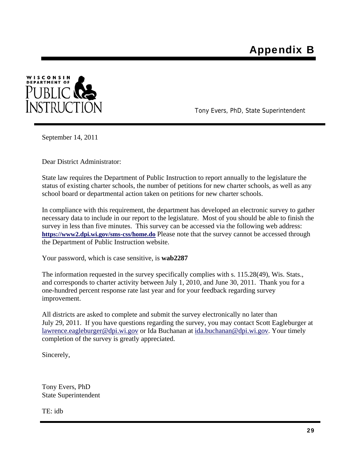

Tony Evers, PhD, State Superintendent

September 14, 2011

Dear District Administrator:

State law requires the Department of Public Instruction to report annually to the legislature the status of existing charter schools, the number of petitions for new charter schools, as well as any school board or departmental action taken on petitions for new charter schools.

In compliance with this requirement, the department has developed an electronic survey to gather necessary data to include in our report to the legislature. Most of you should be able to finish the survey in less than five minutes. This survey can be accessed via the following web address: **https://www2.dpi.wi.gov/sms-css/home.do** Please note that the survey cannot be accessed through the Department of Public Instruction website.

Your password, which is case sensitive, is **wab2287**

The information requested in the survey specifically complies with s. 115.28(49), Wis. Stats., and corresponds to charter activity between July 1, 2010, and June 30, 2011. Thank you for a one-hundred percent response rate last year and for your feedback regarding survey improvement.

All districts are asked to complete and submit the survey electronically no later than July 29, 2011. If you have questions regarding the survey, you may contact Scott Eagleburger at lawrence.eagleburger@dpi.wi.gov or Ida Buchanan at ida.buchanan@dpi.wi.gov. Your timely completion of the survey is greatly appreciated.

Sincerely,

Tony Evers, PhD State Superintendent

TE: idb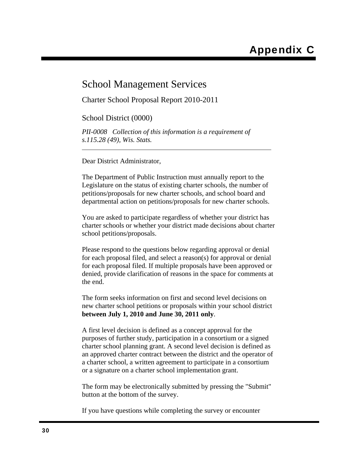### School Management Services

Charter School Proposal Report 2010-2011

School District (0000)

*PII-0008 Collection of this information is a requirement of s.115.28 (49), Wis. Stats.*

Dear District Administrator,

The Department of Public Instruction must annually report to the Legislature on the status of existing charter schools, the number of petitions/proposals for new charter schools, and school board and departmental action on petitions/proposals for new charter schools.

You are asked to participate regardless of whether your district has charter schools or whether your district made decisions about charter school petitions/proposals.

Please respond to the questions below regarding approval or denial for each proposal filed, and select a reason(s) for approval or denial for each proposal filed. If multiple proposals have been approved or denied, provide clarification of reasons in the space for comments at the end.

The form seeks information on first and second level decisions on new charter school petitions or proposals within your school district **between July 1, 2010 and June 30, 2011 only**.

A first level decision is defined as a concept approval for the purposes of further study, participation in a consortium or a signed charter school planning grant. A second level decision is defined as an approved charter contract between the district and the operator of a charter school, a written agreement to participate in a consortium or a signature on a charter school implementation grant.

The form may be electronically submitted by pressing the "Submit" button at the bottom of the survey.

If you have questions while completing the survey or encounter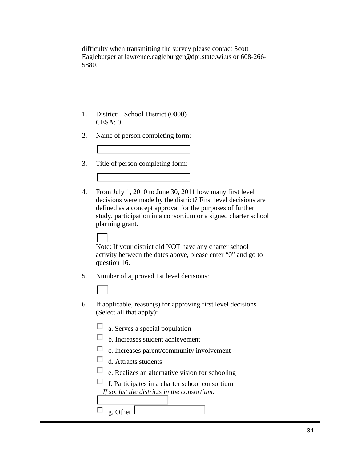difficulty when transmitting the survey please contact Scott Eagleburger at lawrence.eagleburger@dpi.state.wi.us or 608-266- 5880.

- 1. District: School District (0000) CESA: 0
- 2. Name of person completing form:
- 3. Title of person completing form:
- 4. From July 1, 2010 to June 30, 2011 how many first level decisions were made by the district? First level decisions are defined as a concept approval for the purposes of further study, participation in a consortium or a signed charter school planning grant.

Note: If your district did NOT have any charter school activity between the dates above, please enter "0" and go to question 16.

5. Number of approved 1st level decisions:

- 6. If applicable, reason(s) for approving first level decisions (Select all that apply):
	- П a. Serves a special population
	- b. Increases student achievement
	- $\Box$  c. Increases parent/community involvement
	- $\Box$ d. Attracts students
	- $\Box$ e. Realizes an alternative vision for schooling
	- $\Box$  f. Participates in a charter school consortium *If so, list the districts in the consortium:*

 $\Box$  g. Other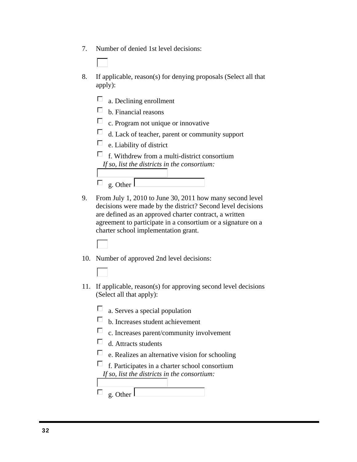- 7. Number of denied 1st level decisions:
- 8. If applicable, reason(s) for denying proposals (Select all that apply):
	- $\Box$  a. Declining enrollment
	- $\Box$  b. Financial reasons
	- $\Box$  c. Program not unique or innovative
	- $\Box$  d. Lack of teacher, parent or community support
	- $\Box$ e. Liability of district
	- $\Box$  f. Withdrew from a multi-district consortium *If so, list the districts in the consortium:*



- 9. From July 1, 2010 to June 30, 2011 how many second level decisions were made by the district? Second level decisions are defined as an approved charter contract, a written agreement to participate in a consortium or a signature on a charter school implementation grant.
- 10. Number of approved 2nd level decisions:
	-
- 11. If applicable, reason(s) for approving second level decisions (Select all that apply):
	- $\Box$  a. Serves a special population
	- b. Increases student achievement
	- $\Box$  c. Increases parent/community involvement
	- $\Box$ d. Attracts students
	- $\Box$ e. Realizes an alternative vision for schooling
	- $\Box$  f. Participates in a charter school consortium *If so, list the districts in the consortium:*

| r I<br>$\sigma$<br>$-$ |  |
|------------------------|--|
|------------------------|--|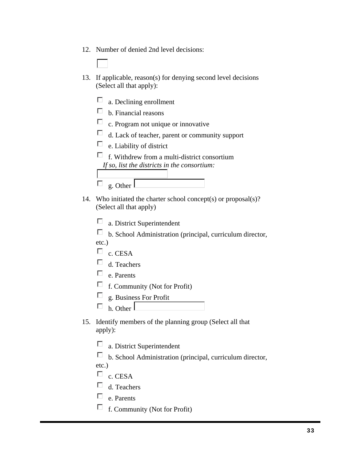- 12. Number of denied 2nd level decisions:
- 13. If applicable, reason(s) for denying second level decisions (Select all that apply):
	- $\Box$  a. Declining enrollment  $\Box$  b. Financial reasons  $\Box$  c. Program not unique or innovative  $\Box$  d. Lack of teacher, parent or community support  $\Box$  e. Liability of district  $\Box$  f. Withdrew from a multi-district consortium *If so, list the districts in the consortium:*  $\Box$ g. Other
- 14. Who initiated the charter school concept(s) or proposal(s)? (Select all that apply)

 $\Box$  a. District Superintendent

 $\Box$  b. School Administration (principal, curriculum director, etc.)

- $\Box$  c. CESA
- $\Box$  d. Teachers
- $\Box$  e. Parents
- $\Box$  f. Community (Not for Profit)
- П g. Business For Profit
- $\Box$  h. Other
- 15. Identify members of the planning group (Select all that apply):
	- $\Box$  a. District Superintendent
	- $\Box$  b. School Administration (principal, curriculum director,
	- etc.)
	- $\Box$  c. CESA
	- $\Box$  d. Teachers
	- $\Box$ e. Parents
	- $\Box$  f. Community (Not for Profit)